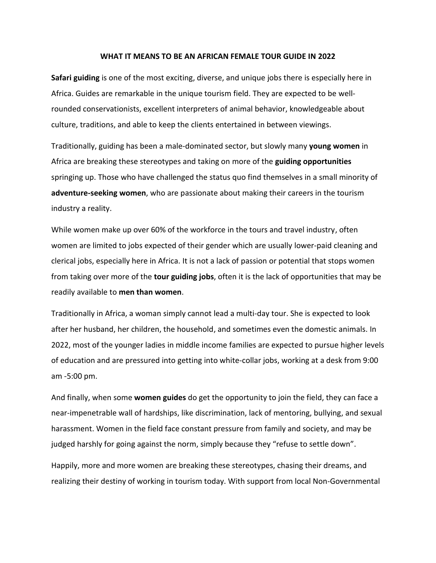## **WHAT IT MEANS TO BE AN AFRICAN FEMALE TOUR GUIDE IN 2022**

**Safari guiding** is one of the most exciting, diverse, and unique jobs there is especially here in Africa. Guides are remarkable in the unique tourism field. They are expected to be wellrounded conservationists, excellent interpreters of animal behavior, knowledgeable about culture, traditions, and able to keep the clients entertained in between viewings.

Traditionally, guiding has been a male-dominated sector, but slowly many **young women** in Africa are breaking these stereotypes and taking on more of the **guiding opportunities** springing up. Those who have challenged the status quo find themselves in a small minority of **adventure-seeking women**, who are passionate about making their careers in the tourism industry a reality.

While women make up over 60% of the workforce in the tours and travel industry, often women are limited to jobs expected of their gender which are usually lower-paid cleaning and clerical jobs, especially here in Africa. It is not a lack of passion or potential that stops women from taking over more of the **tour guiding jobs**, often it is the lack of opportunities that may be readily available to **men than women**.

Traditionally in Africa, a woman simply cannot lead a multi-day tour. She is expected to look after her husband, her children, the household, and sometimes even the domestic animals. In 2022, most of the younger ladies in middle income families are expected to pursue higher levels of education and are pressured into getting into white-collar jobs, working at a desk from 9:00 am -5:00 pm.

And finally, when some **women guides** do get the opportunity to join the field, they can face a near-impenetrable wall of hardships, like discrimination, lack of mentoring, bullying, and sexual harassment. Women in the field face constant pressure from family and society, and may be judged harshly for going against the norm, simply because they "refuse to settle down".

Happily, more and more women are breaking these stereotypes, chasing their dreams, and realizing their destiny of working in tourism today. With support from local Non-Governmental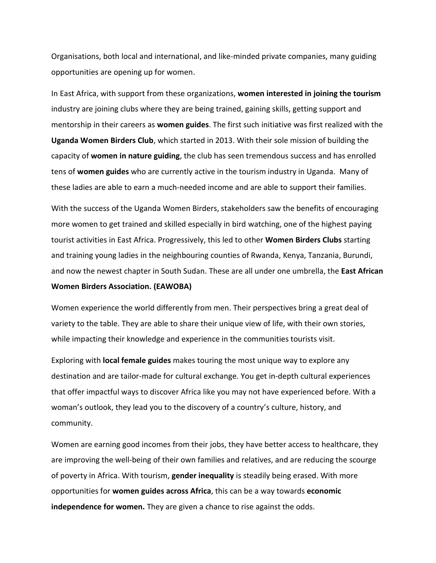Organisations, both local and international, and like-minded private companies, many guiding opportunities are opening up for women.

In East Africa, with support from these organizations, **women interested in joining the tourism** industry are joining clubs where they are being trained, gaining skills, getting support and mentorship in their careers as **women guides**. The first such initiative was first realized with the **Uganda Women Birders Club**, which started in 2013. With their sole mission of building the capacity of **women in nature guiding**, the club has seen tremendous success and has enrolled tens of **women guides** who are currently active in the tourism industry in Uganda. Many of these ladies are able to earn a much-needed income and are able to support their families.

With the success of the Uganda Women Birders, stakeholders saw the benefits of encouraging more women to get trained and skilled especially in bird watching, one of the highest paying tourist activities in East Africa. Progressively, this led to other **Women Birders Clubs** starting and training young ladies in the neighbouring counties of Rwanda, Kenya, Tanzania, Burundi, and now the newest chapter in South Sudan. These are all under one umbrella, the **East African Women Birders Association. (EAWOBA)**

Women experience the world differently from men. Their perspectives bring a great deal of variety to the table. They are able to share their unique view of life, with their own stories, while impacting their knowledge and experience in the communities tourists visit.

Exploring with **local female guides** makes touring the most unique way to explore any destination and are tailor-made for cultural exchange. You get in-depth cultural experiences that offer impactful ways to discover Africa like you may not have experienced before. With a woman's outlook, they lead you to the discovery of a country's culture, history, and community.

Women are earning good incomes from their jobs, they have better access to healthcare, they are improving the well-being of their own families and relatives, and are reducing the scourge of poverty in Africa. With tourism, **gender inequality** is steadily being erased. With more opportunities for **women guides across Africa**, this can be a way towards **economic independence for women.** They are given a chance to rise against the odds.